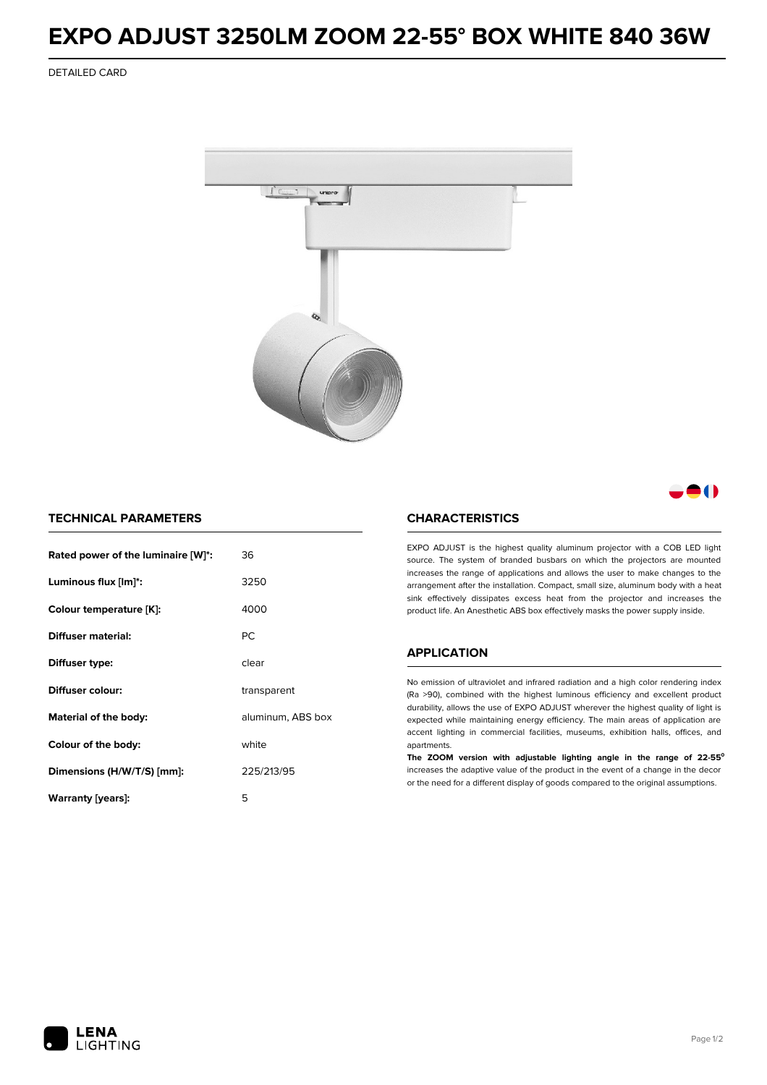## **EXPO ADJUST 3250LM ZOOM 22-55° BOX WHITE 840 36W**

DETAILED CARD



M

## **TECHNICAL PARAMETERS**

| Rated power of the luminaire [W]*:         | 36          |
|--------------------------------------------|-------------|
| Luminous flux [lm]*:                       | 3250        |
| Colour temperature [K]:                    | 4000        |
| Diffuser material:                         | <b>PC</b>   |
| Diffuser type:                             | clear       |
| Diffuser colour:                           | transparent |
| aluminum, ABS box<br>Material of the body: |             |
| white<br>Colour of the body:               |             |
| Dimensions (H/W/T/S) [mm]:                 | 225/213/95  |
| Warranty (years):                          | 5           |

#### **CHARACTERISTICS**

EXPO ADJUST is the highest quality aluminum projector with a COB LED light source. The system of branded busbars on which the projectors are mounted increases the range of applications and allows the user to make changes to the arrangement after the installation. Compact, small size, aluminum body with a heat sink effectively dissipates excess heat from the projector and increases the product life. An Anesthetic ABS box effectively masks the power supply inside.

#### **APPLICATION**

No emission of ultraviolet and infrared radiation and a high color rendering index (Ra >90), combined with the highest luminous efficiency and excellent product durability, allows the use of EXPO ADJUST wherever the highest quality of light is expected while maintaining energy efficiency. The main areas of application are accent lighting in commercial facilities, museums, exhibition halls, offices, and apartments.

**The ZOOM version with adjustable lighting angle in the range of 22-55⁰** increases the adaptive value of the product in the event of a change in the decor or the need for a different display of goods compared to the original assumptions.